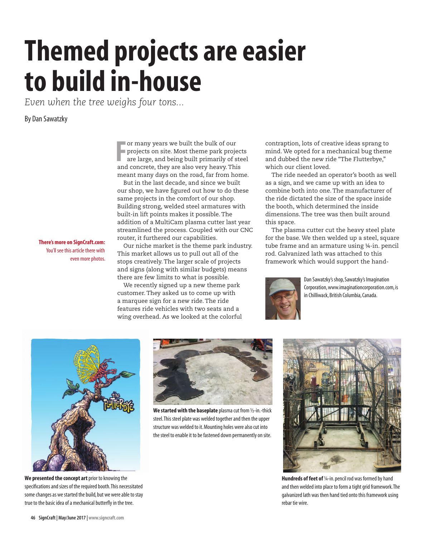## **Themed projects are easier to build in-house**

*Even when the tree weighs four tons...*

## By Dan Sawatzky

**F** and concrete, they are built the bulk of our projects on site. Most theme park projector are large, and being built primarily of stead concrete, they are also very heavy. This or many years we built the bulk of our projects on site. Most theme park projects are large, and being built primarily of steel meant many days on the road, far from home.

But in the last decade, and since we built our shop, we have figured out how to do these same projects in the comfort of our shop. Building strong, welded steel armatures with built-in lift points makes it possible. The addition of a MultiCam plasma cutter last year streamlined the process. Coupled with our CNC router, it furthered our capabilities.

**There's more on SignCraft.com:**  You'll see this article there with even more photos.

Our niche market is the theme park industry. This market allows us to pull out all of the stops creatively. The larger scale of projects and signs (along with similar budgets) means there are few limits to what is possible.

We recently signed up a new theme park customer. They asked us to come up with a marquee sign for a new ride. The ride features ride vehicles with two seats and a wing overhead. As we looked at the colorful contraption, lots of creative ideas sprang to mind. We opted for a mechanical bug theme and dubbed the new ride "The Flutterbye," which our client loved.

The ride needed an operator's booth as well as a sign, and we came up with an idea to combine both into one. The manufacturer of the ride dictated the size of the space inside the booth, which determined the inside dimensions. The tree was then built around this space.

The plasma cutter cut the heavy steel plate for the base. We then welded up a steel, square tube frame and an armature using ¼-in. pencil rod. Galvanized lath was attached to this framework which would support the hand-



Dan Sawatzky's shop, Sawatzky's Imagination Corporation, www.imaginationcorporation.com, is in Chilliwack, British Columbia, Canada.



**We presented the concept art** prior to knowing the specifications and sizes of the required booth. This necessitated some changes as we started the build, but we were able to stay true to the basic idea of a mechanical butterfly in the tree.



**We started with the baseplate** plasma cut from ½-in.-thick steel. This steel plate was welded together and then the upper structure was welded to it. Mounting holes were also cut into the steel to enable it to be fastened down permanently on site.



**Hundreds of feet of** ¼-in. pencil rod was formed by hand and then welded into place to form a tight grid framework. The galvanized lath was then hand tied onto this framework using rebar tie wire.